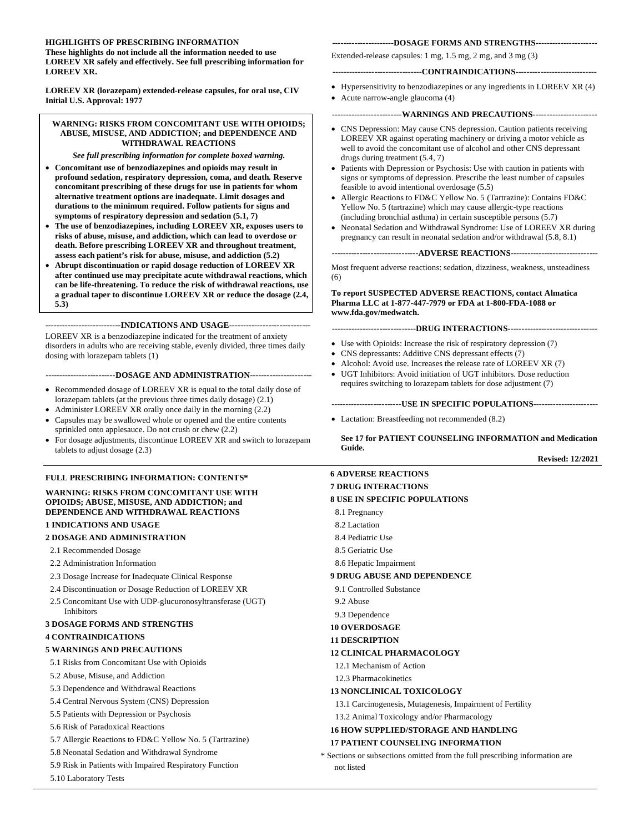### **HIGHLIGHTS OF PRESCRIBING INFORMATION**

**These highlights do not include all the information needed to use LOREEV XR safely and effectively. See full prescribing information for LOREEV XR.** 

**LOREEV XR (lorazepam) extended-release capsules, for oral use, CIV Initial U.S. Approval: 1977** 

#### **WARNING: RISKS FROM CONCOMITANT USE WITH OPIOIDS; ABUSE, MISUSE, AND ADDICTION; and DEPENDENCE AND WITHDRAWAL REACTIONS**

*See full prescribing information for complete boxed warning.*

- **Concomitant use of benzodiazepines and opioids may result in profound sedation, respiratory depression, coma, and death***.* **Reserve concomitant prescribing of these drugs for use in patients for whom alternative treatment options are inadequate. Limit dosages and durations to the minimum required. Follow patients for signs and symptoms of respiratory depression and sedation (5.1, 7)**
- **The use of benzodiazepines, including LOREEV XR, exposes users to risks of abuse, misuse, and addiction, which can lead to overdose or death. Before prescribing LOREEV XR and throughout treatment, assess each patient's risk for abuse, misuse, and addiction (5.2)**
- **Abrupt discontinuation or rapid dosage reduction of LOREEV XR after continued use may precipitate acute withdrawal reactions, which can be life-threatening. To reduce the risk of withdrawal reactions, use a gradual taper to discontinue LOREEV XR or reduce the dosage (2.4, 5.3)**

**---------------------------INDICATIONS AND USAGE-----------------------------**

LOREEV XR is a benzodiazepine indicated for the treatment of anxiety disorders in adults who are receiving stable, evenly divided, three times daily dosing with lorazepam tablets (1)

**-------------------------DOSAGE AND ADMINISTRATION----------------------**

- Recommended dosage of LOREEV XR is equal to the total daily dose of lorazepam tablets (at the previous three times daily dosage) (2.1)
- Administer LOREEV XR orally once daily in the morning (2.2)
- Capsules may be swallowed whole or opened and the entire contents sprinkled onto applesauce. Do not crush or chew (2.2)
- For dosage adjustments, discontinue LOREEV XR and switch to lorazepam tablets to adjust dosage (2.3)

#### **FULL PRESCRIBING INFORMATION: CONTENTS\***

**WARNING: RISKS FROM CONCOMITANT USE WITH OPIOIDS; ABUSE, MISUSE, AND ADDICTION; and DEPENDENCE AND WITHDRAWAL REACTIONS 1 INDICATIONS AND USAGE**

# **2 DOSAGE AND ADMINISTRATION**

- 2.1 Recommended Dosage
- 2.2 Administration Information
- 2.3 Dosage Increase for Inadequate Clinical Response
- 2.4 Discontinuation or Dosage Reduction of LOREEV XR
- 2.5 Concomitant Use with UDP-glucuronosyltransferase (UGT) Inhibitors

#### **3 DOSAGE FORMS AND STRENGTHS**

#### **4 CONTRAINDICATIONS**

#### **5 WARNINGS AND PRECAUTIONS**

- 5.1 Risks from Concomitant Use with Opioids
- 5.2 Abuse, Misuse, and Addiction
- 5.3 Dependence and Withdrawal Reactions
- 5.4 Central Nervous System (CNS) Depression
- 5.5 Patients with Depression or Psychosis
- 5.6 Risk of Paradoxical Reactions
- 5.7 Allergic Reactions to FD&C Yellow No. 5 (Tartrazine)
- 5.8 Neonatal Sedation and Withdrawal Syndrome
- 5.9 Risk in Patients with Impaired Respiratory Function
- 5.10 Laboratory Tests

#### **----------------------DOSAGE FORMS AND STRENGTHS----------------------**

Extended-release capsules: 1 mg, 1.5 mg, 2 mg, and 3 mg (3)

#### **--------------------------------CONTRAINDICATIONS-----------------------------**

- Hypersensitivity to benzodiazepines or any ingredients in LOREEV XR [\(4\)](#page-2-0)
- Acute narrow-angle glaucoma (4)

#### **-------------------------WARNINGS AND PRECAUTIONS-----------------------**

- CNS Depression: May cause CNS depression. Caution patients receiving LOREEV XR against operating machinery or driving a motor vehicle as well to avoid the concomitant use of alcohol and other CNS depressant drugs during treatment (5.4, 7)
- Patients with Depression or Psychosis: Use with caution in patients with signs or symptoms of depression. Prescribe the least number of capsules feasible to avoid intentional overdosage (5.5)
- Allergic Reactions to FD&C Yellow No. 5 (Tartrazine): Contains FD&C Yellow No. 5 (tartrazine) which may cause allergic-type reactions (including bronchial asthma) in certain susceptible persons (5.7)
- Neonatal Sedation and Withdrawal Syndrome: Use of LOREEV XR during pregnancy can result in neonatal sedation and/or withdrawal (5.8, 8.1)

**-------------------------------ADVERSE REACTIONS-------------------------------**

Most frequent adverse reactions: sedation, dizziness, weakness, unsteadiness (6)

**To report SUSPECTED ADVERSE REACTIONS, contact Almatica Pharma LLC at 1-877-447-7979 or FDA at 1-800-FDA-1088 or www.fda.gov/medwatch.**

#### **------------------------------DRUG INTERACTIONS--------------------------------**

- Use with Opioids: Increase the risk of respiratory depression (7)
- CNS depressants: Additive CNS depressant effects (7)
- Alcohol: Avoid use. Increases the release rate of LOREEV XR (7)
- UGT Inhibitors: Avoid initiation of UGT inhibitors. Dose reduction
- requires switching to lorazepam tablets for dose adjustment (7)

#### **-------------------------USE IN SPECIFIC POPULATIONS-----------------------**

• Lactation: Breastfeeding not recommended  $(8.2)$ 

**See 17 for PATIENT COUNSELING INFORMATION and Medication Guide.**

**Revised: 12/2021**

**6 ADVERSE REACTIONS 7 DRUG INTERACTIONS 8 USE IN SPECIFIC POPULATIONS** 8.1 Pregnancy 8.2 Lactation 8.4 Pediatric Use 8.5 Geriatric Use 8.6 Hepatic Impairment **9 DRUG ABUSE AND DEPENDENCE** 9.1 Controlled Substance 9.2 Abuse 9.3 Dependence **10 OVERDOSAGE 11 DESCRIPTION 12 CLINICAL PHARMACOLOGY** 12.1 Mechanism of Action 12.3 Pharmacokinetics **13 NONCLINICAL TOXICOLOGY** 13.1 Carcinogenesis, Mutagenesis, Impairment of Fertility 13.2 Animal Toxicology and/or Pharmacology **16 HOW SUPPLIED/STORAGE AND HANDLING 17 PATIENT COUNSELING INFORMATION** \* Sections or subsections omitted from the full prescribing information are

not listed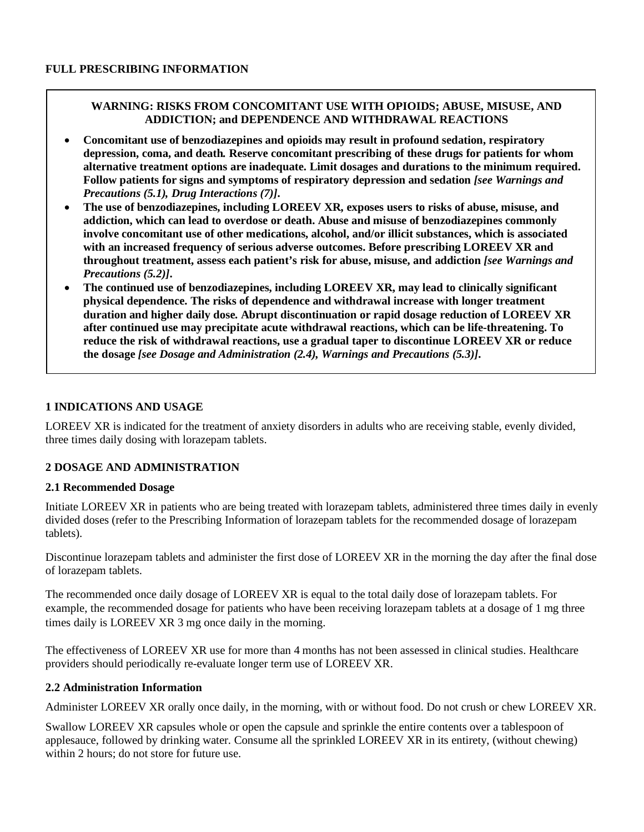# **WARNING: RISKS FROM CONCOMITANT USE WITH OPIOIDS; ABUSE, MISUSE, AND ADDICTION; and DEPENDENCE AND WITHDRAWAL REACTIONS**

- **Concomitant use of benzodiazepines and opioids may result in profound sedation, respiratory depression, coma, and death***.* **Reserve concomitant prescribing of these drugs for patients for whom alternative treatment options are inadequate. Limit dosages and durations to the minimum required. Follow patients for signs and symptoms of respiratory depression and sedation** *[see Warnings and Precautions (5.1), Drug Interactions (7)]***.**
- **The use of benzodiazepines, including LOREEV XR, exposes users to risks of abuse, misuse, and addiction, which can lead to overdose or death. Abuse and misuse of benzodiazepines commonly involve concomitant use of other medications, alcohol, and/or illicit substances, which is associated with an increased frequency of serious adverse outcomes. Before prescribing LOREEV XR and throughout treatment, assess each patient's risk for abuse, misuse, and addiction** *[see Warnings and Precautions (5.2)]***.**
- **The continued use of benzodiazepines, including LOREEV XR, may lead to clinically significant physical dependence. The risks of dependence and withdrawal increase with longer treatment duration and higher daily dose. Abrupt discontinuation or rapid dosage reduction of LOREEV XR after continued use may precipitate acute withdrawal reactions, which can be life-threatening. To reduce the risk of withdrawal reactions, use a gradual taper to discontinue LOREEV XR or reduce the dosage** *[see Dosage and Administration (2.4), Warnings and Precautions (5.3)]***.**

# **1 INDICATIONS AND USAGE**

LOREEV XR is indicated for the treatment of anxiety disorders in adults who are receiving stable, evenly divided, three times daily dosing with lorazepam tablets.

# **2 DOSAGE AND ADMINISTRATION**

# **2.1 Recommended Dosage**

Initiate LOREEV XR in patients who are being treated with lorazepam tablets, administered three times daily in evenly divided doses (refer to the Prescribing Information of lorazepam tablets for the recommended dosage of lorazepam tablets).

Discontinue lorazepam tablets and administer the first dose of LOREEV XR in the morning the day after the final dose of lorazepam tablets.

The recommended once daily dosage of LOREEV XR is equal to the total daily dose of lorazepam tablets. For example, the recommended dosage for patients who have been receiving lorazepam tablets at a dosage of 1 mg three times daily is LOREEV XR 3 mg once daily in the morning.

The effectiveness of LOREEV XR use for more than 4 months has not been assessed in clinical studies. Healthcare providers should periodically re-evaluate longer term use of LOREEV XR.

# **2.2 Administration Information**

Administer LOREEV XR orally once daily, in the morning, with or without food. Do not crush or chew LOREEV XR.

Swallow LOREEV XR capsules whole or open the capsule and sprinkle the entire contents over a tablespoon of applesauce, followed by drinking water. Consume all the sprinkled LOREEV XR in its entirety, (without chewing) within 2 hours; do not store for future use.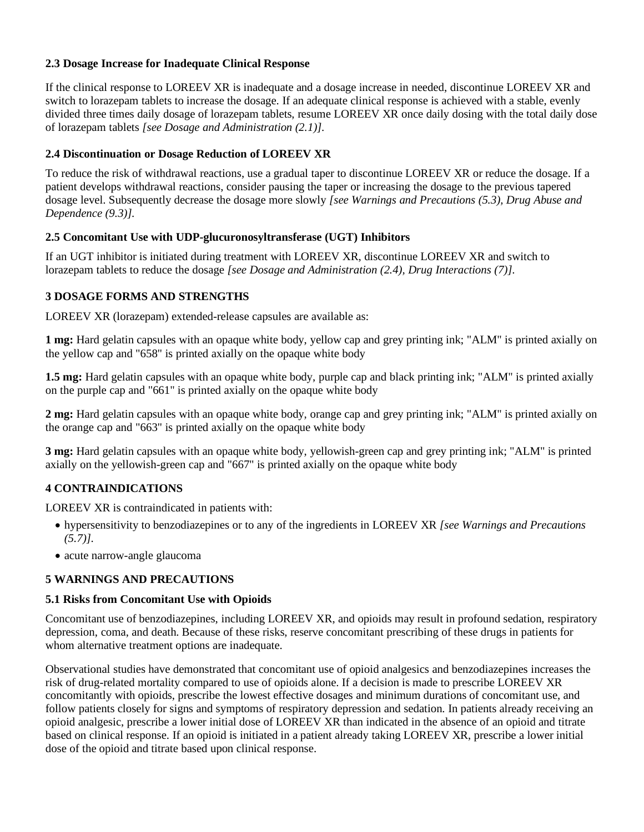# **2.3 Dosage Increase for Inadequate Clinical Response**

If the clinical response to LOREEV XR is inadequate and a dosage increase in needed, discontinue LOREEV XR and switch to lorazepam tablets to increase the dosage. If an adequate clinical response is achieved with a stable, evenly divided three times daily dosage of lorazepam tablets, resume LOREEV XR once daily dosing with the total daily dose of lorazepam tablets *[see Dosage and Administration (2.1)].*

# **2.4 Discontinuation or Dosage Reduction of LOREEV XR**

To reduce the risk of withdrawal reactions, use a gradual taper to discontinue LOREEV XR or reduce the dosage. If a patient develops withdrawal reactions, consider pausing the taper or increasing the dosage to the previous tapered dosage level. Subsequently decrease the dosage more slowly *[see Warnings and Precautions (5.3), Drug Abuse and Dependence (9.3)].*

## **2.5 Concomitant Use with UDP-glucuronosyltransferase (UGT) Inhibitors**

If an UGT inhibitor is initiated during treatment with LOREEV XR, discontinue LOREEV XR and switch to lorazepam tablets to reduce the dosage *[see Dosage and Administration (2.4), Drug Interactions (7)]*.

# **3 DOSAGE FORMS AND STRENGTHS**

LOREEV XR (lorazepam) extended-release capsules are available as:

**1 mg:** Hard gelatin capsules with an opaque white body, yellow cap and grey printing ink; "ALM" is printed axially on the yellow cap and "658" is printed axially on the opaque white body

**1.5 mg:** Hard gelatin capsules with an opaque white body, purple cap and black printing ink; "ALM" is printed axially on the purple cap and "661" is printed axially on the opaque white body

**2 mg:** Hard gelatin capsules with an opaque white body, orange cap and grey printing ink; "ALM" is printed axially on the orange cap and "663" is printed axially on the opaque white body

**3 mg:** Hard gelatin capsules with an opaque white body, yellowish-green cap and grey printing ink; "ALM" is printed axially on the yellowish-green cap and "667" is printed axially on the opaque white body

# <span id="page-2-0"></span>**4 CONTRAINDICATIONS**

LOREEV XR is contraindicated in patients with:

- hypersensitivity to benzodiazepines or to any of the ingredients in LOREEV XR *[see Warnings and Precautions (5.7)].*
- acute narrow-angle glaucoma

## **5 WARNINGS AND PRECAUTIONS**

## <span id="page-2-1"></span>**5.1 Risks from Concomitant Use with Opioids**

Concomitant use of benzodiazepines, including LOREEV XR, and opioids may result in profound sedation, respiratory depression, coma, and death. Because of these risks, reserve concomitant prescribing of these drugs in patients for whom alternative treatment options are inadequate.

Observational studies have demonstrated that concomitant use of opioid analgesics and benzodiazepines increases the risk of drug-related mortality compared to use of opioids alone. If a decision is made to prescribe LOREEV XR concomitantly with opioids, prescribe the lowest effective dosages and minimum durations of concomitant use, and follow patients closely for signs and symptoms of respiratory depression and sedation. In patients already receiving an opioid analgesic, prescribe a lower initial dose of LOREEV XR than indicated in the absence of an opioid and titrate based on clinical response. If an opioid is initiated in a patient already taking LOREEV XR, prescribe a lower initial dose of the opioid and titrate based upon clinical response.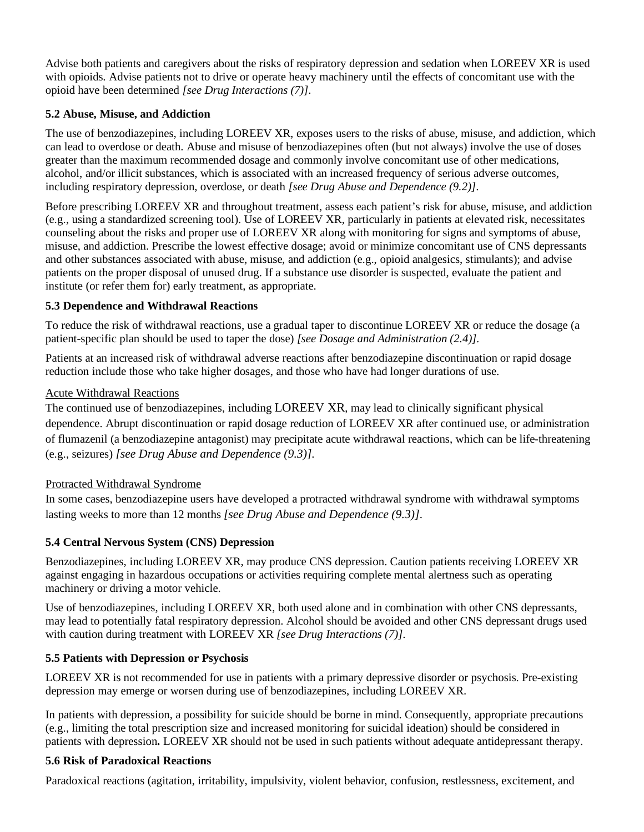Advise both patients and caregivers about the risks of respiratory depression and sedation when LOREEV XR is used with opioids. Advise patients not to drive or operate heavy machinery until the effects of concomitant use with the opioid have been determined *[see Drug Interactions (7)]*.

# **5.2 Abuse, Misuse, and Addiction**

The use of benzodiazepines, including LOREEV XR, exposes users to the risks of abuse, misuse, and addiction, which can lead to overdose or death. Abuse and misuse of benzodiazepines often (but not always) involve the use of doses greater than the maximum recommended dosage and commonly involve concomitant use of other medications, alcohol, and/or illicit substances, which is associated with an increased frequency of serious adverse outcomes, including respiratory depression, overdose, or death *[see Drug Abuse and Dependence (9.2)]*.

Before prescribing LOREEV XR and throughout treatment, assess each patient's risk for abuse, misuse, and addiction (e.g., using a standardized screening tool). Use of LOREEV XR, particularly in patients at elevated risk, necessitates counseling about the risks and proper use of LOREEV XR along with monitoring for signs and symptoms of abuse, misuse, and addiction. Prescribe the lowest effective dosage; avoid or minimize concomitant use of CNS depressants and other substances associated with abuse, misuse, and addiction (e.g., opioid analgesics, stimulants); and advise patients on the proper disposal of unused drug. If a substance use disorder is suspected, evaluate the patient and institute (or refer them for) early treatment, as appropriate.

# **5.3 Dependence and Withdrawal Reactions**

To reduce the risk of withdrawal reactions, use a gradual taper to discontinue LOREEV XR or reduce the dosage (a patient-specific plan should be used to taper the dose) *[see Dosage and Administration (2.4)]*.

Patients at an increased risk of withdrawal adverse reactions after benzodiazepine discontinuation or rapid dosage reduction include those who take higher dosages, and those who have had longer durations of use.

# Acute Withdrawal Reactions

The continued use of benzodiazepines, including LOREEV XR, may lead to clinically significant physical dependence. Abrupt discontinuation or rapid dosage reduction of LOREEV XR after continued use, or administration of flumazenil (a benzodiazepine antagonist) may precipitate acute withdrawal reactions, which can be life-threatening (e.g., seizures) *[see Drug Abuse and Dependence (9.3)].* 

# Protracted Withdrawal Syndrome

In some cases, benzodiazepine users have developed a protracted withdrawal syndrome with withdrawal symptoms lasting weeks to more than 12 months *[see Drug Abuse and Dependence (9.3)]*.

# **5.4 Central Nervous System (CNS) Depression**

Benzodiazepines, including LOREEV XR, may produce CNS depression. Caution patients receiving LOREEV XR against engaging in hazardous occupations or activities requiring complete mental alertness such as operating machinery or driving a motor vehicle.

Use of benzodiazepines, including LOREEV XR, both used alone and in combination with other CNS depressants, may lead to potentially fatal respiratory depression. Alcohol should be avoided and other CNS depressant drugs used with caution during treatment with LOREEV XR *[see Drug Interactions (7)]*.

## **5.5 Patients with Depression or Psychosis**

LOREEV XR is not recommended for use in patients with a primary depressive disorder or psychosis. Pre-existing depression may emerge or worsen during use of benzodiazepines, including LOREEV XR.

In patients with depression, a possibility for suicide should be borne in mind. Consequently, appropriate precautions (e.g., limiting the total prescription size and increased monitoring for suicidal ideation) should be considered in patients with depression**.** LOREEV XR should not be used in such patients without adequate antidepressant therapy.

## **5.6 Risk of Paradoxical Reactions**

Paradoxical reactions (agitation, irritability, impulsivity, violent behavior, confusion, restlessness, excitement, and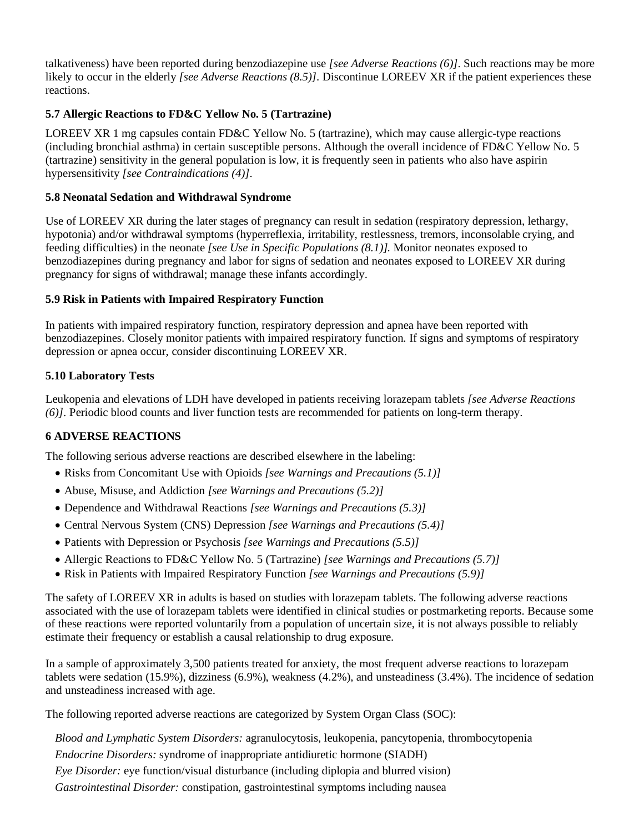talkativeness) have been reported during benzodiazepine use *[see Adverse Reactions (6)]*. Such reactions may be more likely to occur in the elderly *[see Adverse Reactions (8.5)]*. Discontinue LOREEV XR if the patient experiences these reactions.

# **5.7 Allergic Reactions to FD&C Yellow No. 5 (Tartrazine)**

LOREEV XR 1 mg capsules contain FD&C Yellow No. 5 (tartrazine), which may cause allergic-type reactions (including bronchial asthma) in certain susceptible persons. Although the overall incidence of FD&C Yellow No. 5 (tartrazine) sensitivity in the general population is low, it is frequently seen in patients who also have aspirin hypersensitivity *[see Contraindications (4)]*.

## **5.8 Neonatal Sedation and Withdrawal Syndrome**

Use of LOREEV XR during the later stages of pregnancy can result in sedation (respiratory depression, lethargy, hypotonia) and/or withdrawal symptoms (hyperreflexia, irritability, restlessness, tremors, inconsolable crying, and feeding difficulties) in the neonate *[see Use in Specific Populations (8.1)].* Monitor neonates exposed to benzodiazepines during pregnancy and labor for signs of sedation and neonates exposed to LOREEV XR during pregnancy for signs of withdrawal; manage these infants accordingly.

## **5.9 Risk in Patients with Impaired Respiratory Function**

In patients with impaired respiratory function, respiratory depression and apnea have been reported with benzodiazepines. Closely monitor patients with impaired respiratory function. If signs and symptoms of respiratory depression or apnea occur, consider discontinuing LOREEV XR.

# **5.10 Laboratory Tests**

Leukopenia and elevations of LDH have developed in patients receiving lorazepam tablets *[see Adverse Reactions (6)]*. Periodic blood counts and liver function tests are recommended for patients on long-term therapy.

# **6 ADVERSE REACTIONS**

The following serious adverse reactions are described elsewhere in the labeling:

- Risks from Concomitant Use with Opioids *[see Warnings and Precautions (5.1)]*
- Abuse, Misuse, and Addiction *[see Warnings and Precautions (5.2)]*
- Dependence and Withdrawal Reactions *[see Warnings and Precautions (5.3)]*
- Central Nervous System (CNS) Depression *[see Warnings and Precautions (5.4)]*
- Patients with Depression or Psychosis *[see Warnings and Precautions (5.5)]*
- Allergic Reactions to FD&C Yellow No. 5 (Tartrazine) *[see Warnings and Precautions (5.7)]*
- Risk in Patients with Impaired Respiratory Function *[see Warnings and Precautions (5.9)]*

The safety of LOREEV XR in adults is based on studies with lorazepam tablets. The following adverse reactions associated with the use of lorazepam tablets were identified in clinical studies or postmarketing reports. Because some of these reactions were reported voluntarily from a population of uncertain size, it is not always possible to reliably estimate their frequency or establish a causal relationship to drug exposure.

In a sample of approximately 3,500 patients treated for anxiety, the most frequent adverse reactions to lorazepam tablets were sedation (15.9%), dizziness (6.9%), weakness (4.2%), and unsteadiness (3.4%). The incidence of sedation and unsteadiness increased with age.

The following reported adverse reactions are categorized by System Organ Class (SOC):

*Blood and Lymphatic System Disorders:* agranulocytosis, leukopenia, pancytopenia, thrombocytopenia *Endocrine Disorders:* syndrome of inappropriate antidiuretic hormone (SIADH) *Eye Disorder:* eye function/visual disturbance (including diplopia and blurred vision) *Gastrointestinal Disorder:* constipation, gastrointestinal symptoms including nausea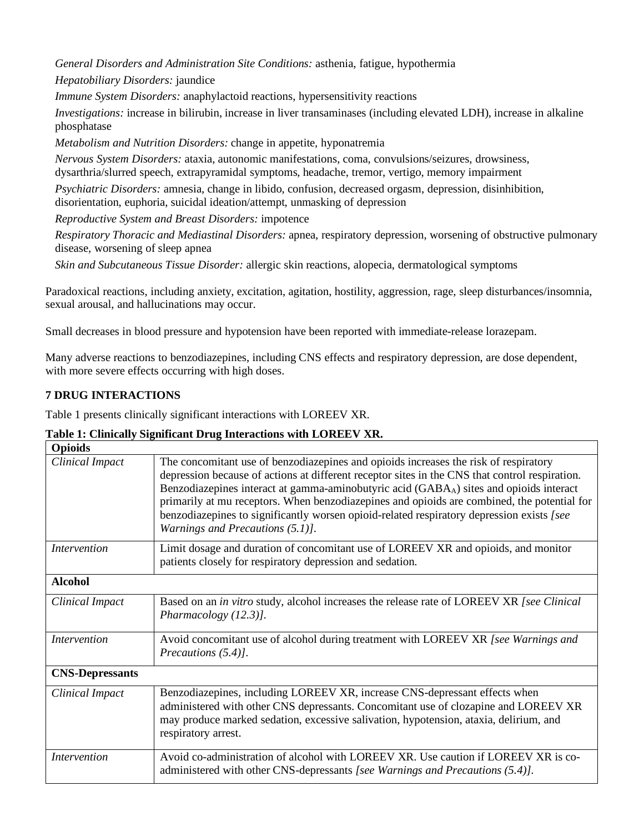*General Disorders and Administration Site Conditions:* asthenia, fatigue, hypothermia

*Hepatobiliary Disorders:* jaundice

*Immune System Disorders:* anaphylactoid reactions, hypersensitivity reactions

*Investigations:* increase in bilirubin, increase in liver transaminases (including elevated LDH), increase in alkaline phosphatase

*Metabolism and Nutrition Disorders:* change in appetite*,* hyponatremia

*Nervous System Disorders:* ataxia, autonomic manifestations, coma, convulsions/seizures, drowsiness, dysarthria/slurred speech, extrapyramidal symptoms, headache, tremor, vertigo, memory impairment

*Psychiatric Disorders:* amnesia, change in libido, confusion, decreased orgasm, depression, disinhibition, disorientation, euphoria, suicidal ideation/attempt, unmasking of depression

*Reproductive System and Breast Disorders:* impotence

*Respiratory Thoracic and Mediastinal Disorders:* apnea, respiratory depression, worsening of obstructive pulmonary disease, worsening of sleep apnea

*Skin and Subcutaneous Tissue Disorder:* allergic skin reactions, alopecia, dermatological symptoms

Paradoxical reactions, including anxiety, excitation, agitation, hostility, aggression, rage, sleep disturbances/insomnia, sexual arousal, and hallucinations may occur.

Small decreases in blood pressure and hypotension have been reported with immediate-release lorazepam.

Many adverse reactions to benzodiazepines, including CNS effects and respiratory depression, are dose dependent, with more severe effects occurring with high doses.

# **7 DRUG INTERACTIONS**

Table 1 presents clinically significant interactions with LOREEV XR.

# **Table 1: Clinically Significant Drug Interactions with LOREEV XR.**

| <b>Opioids</b>         |                                                                                                                                                                                                                                                                                                                                                                                                                                                                                                                               |
|------------------------|-------------------------------------------------------------------------------------------------------------------------------------------------------------------------------------------------------------------------------------------------------------------------------------------------------------------------------------------------------------------------------------------------------------------------------------------------------------------------------------------------------------------------------|
| Clinical Impact        | The concomitant use of benzodiazepines and opioids increases the risk of respiratory<br>depression because of actions at different receptor sites in the CNS that control respiration.<br>Benzodiazepines interact at gamma-aminobutyric acid (GABA <sub>A</sub> ) sites and opioids interact<br>primarily at mu receptors. When benzodiazepines and opioids are combined, the potential for<br>benzodiazepines to significantly worsen opioid-related respiratory depression exists [see<br>Warnings and Precautions (5.1)]. |
| <i>Intervention</i>    | Limit dosage and duration of concomitant use of LOREEV XR and opioids, and monitor<br>patients closely for respiratory depression and sedation.                                                                                                                                                                                                                                                                                                                                                                               |
| <b>Alcohol</b>         |                                                                                                                                                                                                                                                                                                                                                                                                                                                                                                                               |
| Clinical Impact        | Based on an in vitro study, alcohol increases the release rate of LOREEV XR [see Clinical]<br>Pharmacology (12.3)].                                                                                                                                                                                                                                                                                                                                                                                                           |
| <i>Intervention</i>    | Avoid concomitant use of alcohol during treatment with LOREEV XR [see Warnings and<br>Precautions (5.4)].                                                                                                                                                                                                                                                                                                                                                                                                                     |
| <b>CNS-Depressants</b> |                                                                                                                                                                                                                                                                                                                                                                                                                                                                                                                               |
| Clinical Impact        | Benzodiazepines, including LOREEV XR, increase CNS-depressant effects when<br>administered with other CNS depressants. Concomitant use of clozapine and LOREEV XR<br>may produce marked sedation, excessive salivation, hypotension, ataxia, delirium, and<br>respiratory arrest.                                                                                                                                                                                                                                             |
| <i>Intervention</i>    | Avoid co-administration of alcohol with LOREEV XR. Use caution if LOREEV XR is co-<br>administered with other CNS-depressants [see Warnings and Precautions (5.4)].                                                                                                                                                                                                                                                                                                                                                           |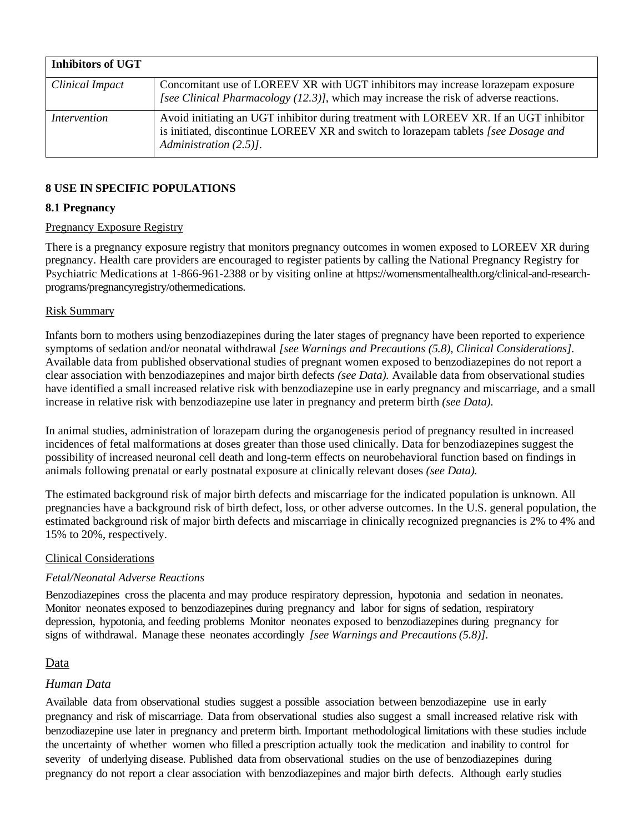| <b>Inhibitors of UGT</b> |                                                                                                                                                                                                        |
|--------------------------|--------------------------------------------------------------------------------------------------------------------------------------------------------------------------------------------------------|
| Clinical Impact          | Concomitant use of LOREEV XR with UGT inhibitors may increase lorazepam exposure<br>[see Clinical Pharmacology (12.3)], which may increase the risk of adverse reactions.                              |
| Intervention             | Avoid initiating an UGT inhibitor during treatment with LOREEV XR. If an UGT inhibitor<br>is initiated, discontinue LOREEV XR and switch to lorazepam tablets [see Dosage and<br>Administration (2.5). |

# **8 USE IN SPECIFIC POPULATIONS**

# **8.1 Pregnancy**

# Pregnancy Exposure Registry

There is a pregnancy exposure registry that monitors pregnancy outcomes in women exposed to LOREEV XR during pregnancy. Health care providers are encouraged to register patients by calling the National Pregnancy Registry for Psychiatric Medications at 1-866-961-2388 or by visiting online at https://womensmentalhealth.org/clinical-and-researchprograms/pregnancyregistry/othermedications.

# Risk Summary

Infants born to mothers using benzodiazepines during the later stages of pregnancy have been reported to experience symptoms of sedation and/or neonatal withdrawal *[see Warnings and Precautions (5.8), Clinical Considerations].*  Available data from published observational studies of pregnant women exposed to benzodiazepines do not report a clear association with benzodiazepines and major birth defects *(see Data).* Available data from observational studies have identified a small increased relative risk with benzodiazepine use in early pregnancy and miscarriage, and a small increase in relative risk with benzodiazepine use later in pregnancy and preterm birth *(see Data).*

In animal studies, administration of lorazepam during the organogenesis period of pregnancy resulted in increased incidences of fetal malformations at doses greater than those used clinically. Data for benzodiazepines suggest the possibility of increased neuronal cell death and long-term effects on neurobehavioral function based on findings in animals following prenatal or early postnatal exposure at clinically relevant doses *(see Data).*

The estimated background risk of major birth defects and miscarriage for the indicated population is unknown. All pregnancies have a background risk of birth defect, loss, or other adverse outcomes. In the U.S. general population, the estimated background risk of major birth defects and miscarriage in clinically recognized pregnancies is 2% to 4% and 15% to 20%, respectively.

## Clinical Considerations

# *Fetal/Neonatal Adverse Reactions*

Benzodiazepines cross the placenta and may produce respiratory depression, hypotonia and sedation in neonates. Monitor neonates exposed to benzodiazepines during pregnancy and labor for signs of sedation, respiratory depression, hypotonia, and feeding problems Monitor neonates exposed to benzodiazepines during pregnancy for signs of withdrawal. Manage these neonates accordingly *[see Warnings and Precautions (5.8)].*

# Data

# *Human Data*

Available data from observational studies suggest a possible association between benzodiazepine use in early pregnancy and risk of miscarriage. Data from observational studies also suggest a small increased relative risk with benzodiazepine use later in pregnancy and preterm birth. Important methodological limitations with these studies include the uncertainty of whether women who filled a prescription actually took the medication and inability to control for severity of underlying disease. Published data from observational studies on the use of benzodiazepines during pregnancy do not report a clear association with benzodiazepines and major birth defects. Although early studies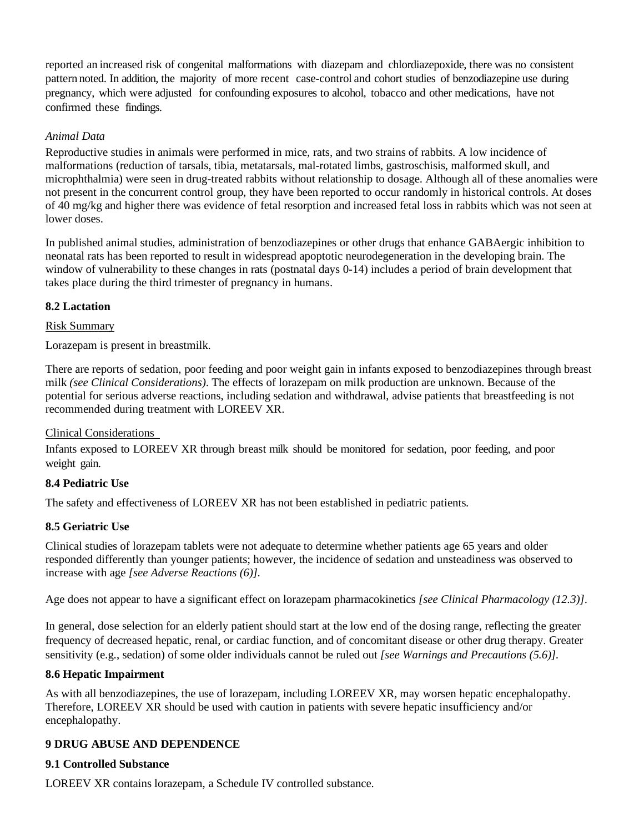reported an increased risk of congenital malformations with diazepam and chlordiazepoxide, there was no consistent pattern noted. In addition, the majority of more recent case-control and cohort studies of benzodiazepine use during pregnancy, which were adjusted for confounding exposures to alcohol, tobacco and other medications, have not confirmed these findings.

# *Animal Data*

Reproductive studies in animals were performed in mice, rats, and two strains of rabbits. A low incidence of malformations (reduction of tarsals, tibia, metatarsals, mal-rotated limbs, gastroschisis, malformed skull, and microphthalmia) were seen in drug-treated rabbits without relationship to dosage. Although all of these anomalies were not present in the concurrent control group, they have been reported to occur randomly in historical controls. At doses of 40 mg/kg and higher there was evidence of fetal resorption and increased fetal loss in rabbits which was not seen at lower doses.

In published animal studies, administration of benzodiazepines or other drugs that enhance GABAergic inhibition to neonatal rats has been reported to result in widespread apoptotic neurodegeneration in the developing brain. The window of vulnerability to these changes in rats (postnatal days 0-14) includes a period of brain development that takes place during the third trimester of pregnancy in humans.

# **8.2 Lactation**

# Risk Summary

Lorazepam is present in breastmilk.

There are reports of sedation, poor feeding and poor weight gain in infants exposed to benzodiazepines through breast milk *(see Clinical Considerations)*. The effects of lorazepam on milk production are unknown. Because of the potential for serious adverse reactions, including sedation and withdrawal, advise patients that breastfeeding is not recommended during treatment with LOREEV XR.

## Clinical Considerations

Infants exposed to LOREEV XR through breast milk should be monitored for sedation, poor feeding, and poor weight gain.

## **8.4 Pediatric Use**

The safety and effectiveness of LOREEV XR has not been established in pediatric patients.

# **8.5 Geriatric Use**

Clinical studies of lorazepam tablets were not adequate to determine whether patients age 65 years and older responded differently than younger patients; however, the incidence of sedation and unsteadiness was observed to increase with age *[see Adverse Reactions (6)]*.

Age does not appear to have a significant effect on lorazepam pharmacokinetics *[see Clinical Pharmacology (12.3)]*.

In general, dose selection for an elderly patient should start at the low end of the dosing range, reflecting the greater frequency of decreased hepatic, renal, or cardiac function, and of concomitant disease or other drug therapy. Greater sensitivity (e.g., sedation) of some older individuals cannot be ruled out *[see Warnings and Precautions (5.6)]*.

## **8.6 Hepatic Impairment**

As with all benzodiazepines, the use of lorazepam, including LOREEV XR, may worsen hepatic encephalopathy. Therefore, LOREEV XR should be used with caution in patients with severe hepatic insufficiency and/or encephalopathy.

## **9 DRUG ABUSE AND DEPENDENCE**

# **9.1 Controlled Substance**

LOREEV XR contains lorazepam, a Schedule IV controlled substance.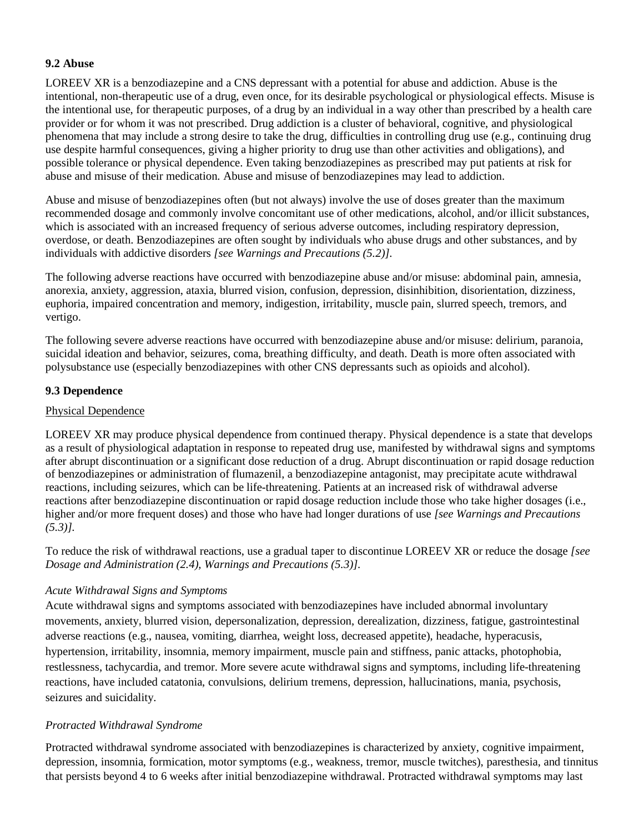# **9.2 Abuse**

LOREEV XR is a benzodiazepine and a CNS depressant with a potential for abuse and addiction. Abuse is the intentional, non-therapeutic use of a drug, even once, for its desirable psychological or physiological effects. Misuse is the intentional use, for therapeutic purposes, of a drug by an individual in a way other than prescribed by a health care provider or for whom it was not prescribed. Drug addiction is a cluster of behavioral, cognitive, and physiological phenomena that may include a strong desire to take the drug, difficulties in controlling drug use (e.g., continuing drug use despite harmful consequences, giving a higher priority to drug use than other activities and obligations), and possible tolerance or physical dependence. Even taking benzodiazepines as prescribed may put patients at risk for abuse and misuse of their medication. Abuse and misuse of benzodiazepines may lead to addiction.

Abuse and misuse of benzodiazepines often (but not always) involve the use of doses greater than the maximum recommended dosage and commonly involve concomitant use of other medications, alcohol, and/or illicit substances, which is associated with an increased frequency of serious adverse outcomes, including respiratory depression, overdose, or death. Benzodiazepines are often sought by individuals who abuse drugs and other substances, and by individuals with addictive disorders *[see Warnings and Precautions (5.2)]*.

The following adverse reactions have occurred with benzodiazepine abuse and/or misuse: abdominal pain, amnesia, anorexia, anxiety, aggression, ataxia, blurred vision, confusion, depression, disinhibition, disorientation, dizziness, euphoria, impaired concentration and memory, indigestion, irritability, muscle pain, slurred speech, tremors, and vertigo.

The following severe adverse reactions have occurred with benzodiazepine abuse and/or misuse: delirium, paranoia, suicidal ideation and behavior, seizures, coma, breathing difficulty, and death. Death is more often associated with polysubstance use (especially benzodiazepines with other CNS depressants such as opioids and alcohol).

# **9.3 Dependence**

# Physical Dependence

LOREEV XR may produce physical dependence from continued therapy. Physical dependence is a state that develops as a result of physiological adaptation in response to repeated drug use, manifested by withdrawal signs and symptoms after abrupt discontinuation or a significant dose reduction of a drug. Abrupt discontinuation or rapid dosage reduction of benzodiazepines or administration of flumazenil, a benzodiazepine antagonist, may precipitate acute withdrawal reactions, including seizures, which can be life-threatening. Patients at an increased risk of withdrawal adverse reactions after benzodiazepine discontinuation or rapid dosage reduction include those who take higher dosages (i.e., higher and/or more frequent doses) and those who have had longer durations of use *[see Warnings and Precautions (5.3)].* 

To reduce the risk of withdrawal reactions, use a gradual taper to discontinue LOREEV XR or reduce the dosage *[see Dosage and Administration (2.4), Warnings and Precautions (5.3)].* 

# *Acute Withdrawal Signs and Symptoms*

Acute withdrawal signs and symptoms associated with benzodiazepines have included abnormal involuntary movements, anxiety, blurred vision, depersonalization, depression, derealization, dizziness, fatigue, gastrointestinal adverse reactions (e.g., nausea, vomiting, diarrhea, weight loss, decreased appetite), headache, hyperacusis, hypertension, irritability, insomnia, memory impairment, muscle pain and stiffness, panic attacks, photophobia, restlessness, tachycardia, and tremor. More severe acute withdrawal signs and symptoms, including life-threatening reactions, have included catatonia, convulsions, delirium tremens, depression, hallucinations, mania, psychosis, seizures and suicidality.

# *Protracted Withdrawal Syndrome*

Protracted withdrawal syndrome associated with benzodiazepines is characterized by anxiety, cognitive impairment, depression, insomnia, formication, motor symptoms (e.g., weakness, tremor, muscle twitches), paresthesia, and tinnitus that persists beyond 4 to 6 weeks after initial benzodiazepine withdrawal. Protracted withdrawal symptoms may last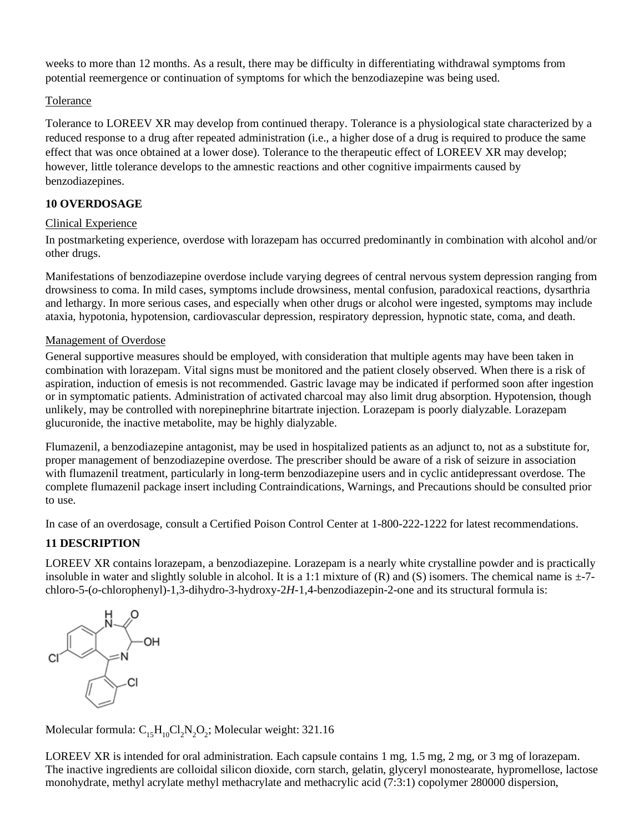weeks to more than 12 months. As a result, there may be difficulty in differentiating withdrawal symptoms from potential reemergence or continuation of symptoms for which the benzodiazepine was being used.

# Tolerance

Tolerance to LOREEV XR may develop from continued therapy. Tolerance is a physiological state characterized by a reduced response to a drug after repeated administration (i.e., a higher dose of a drug is required to produce the same effect that was once obtained at a lower dose). Tolerance to the therapeutic effect of LOREEV XR may develop; however, little tolerance develops to the amnestic reactions and other cognitive impairments caused by benzodiazepines.

# **10 OVERDOSAGE**

# Clinical Experience

In postmarketing experience, overdose with lorazepam has occurred predominantly in combination with alcohol and/or other drugs.

Manifestations of benzodiazepine overdose include varying degrees of central nervous system depression ranging from drowsiness to coma. In mild cases, symptoms include drowsiness, mental confusion, paradoxical reactions, dysarthria and lethargy. In more serious cases, and especially when other drugs or alcohol were ingested, symptoms may include ataxia, hypotonia, hypotension, cardiovascular depression, respiratory depression, hypnotic state, coma, and death.

# Management of Overdose

General supportive measures should be employed, with consideration that multiple agents may have been taken in combination with lorazepam. Vital signs must be monitored and the patient closely observed. When there is a risk of aspiration, induction of emesis is not recommended. Gastric lavage may be indicated if performed soon after ingestion or in symptomatic patients. Administration of activated charcoal may also limit drug absorption. Hypotension, though unlikely, may be controlled with norepinephrine bitartrate injection. Lorazepam is poorly dialyzable. Lorazepam glucuronide, the inactive metabolite, may be highly dialyzable.

Flumazenil, a benzodiazepine antagonist, may be used in hospitalized patients as an adjunct to, not as a substitute for, proper management of benzodiazepine overdose. The prescriber should be aware of a risk of seizure in association with flumazenil treatment, particularly in long-term benzodiazepine users and in cyclic antidepressant overdose. The complete flumazenil package insert including Contraindications, Warnings, and Precautions should be consulted prior to use.

In case of an overdosage, consult a Certified Poison Control Center at 1-800-222-1222 for latest recommendations.

# **11 DESCRIPTION**

LOREEV XR contains lorazepam, a benzodiazepine. Lorazepam is a nearly white crystalline powder and is practically insoluble in water and slightly soluble in alcohol. It is a 1:1 mixture of  $(R)$  and  $(S)$  isomers. The chemical name is  $\pm$ -7chloro-5-(*o*-chlorophenyl)-1,3-dihydro-3-hydroxy-2*H*-1,4-benzodiazepin-2-one and its structural formula is:



Molecular formula:  $C_{15}H_{10}Cl_2N_2O_2$ ; Molecular weight: 321.16

LOREEV XR is intended for oral administration. Each capsule contains 1 mg, 1.5 mg, 2 mg, or 3 mg of lorazepam. The inactive ingredients are colloidal silicon dioxide, corn starch, gelatin, glyceryl monostearate, hypromellose, lactose monohydrate, methyl acrylate methyl methacrylate and methacrylic acid (7:3:1) copolymer 280000 dispersion,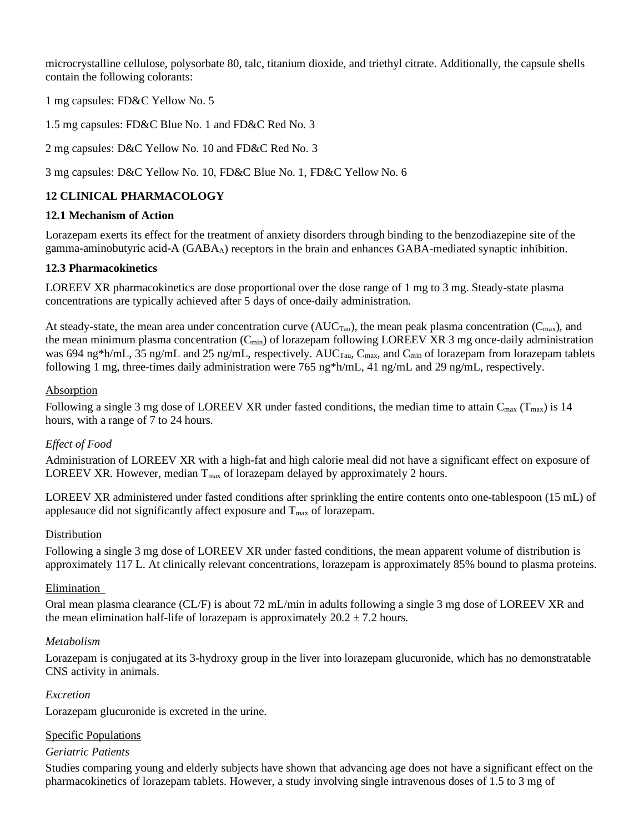microcrystalline cellulose, polysorbate 80, talc, titanium dioxide, and triethyl citrate. Additionally, the capsule shells contain the following colorants:

1 mg capsules: FD&C Yellow No. 5

1.5 mg capsules: FD&C Blue No. 1 and FD&C Red No. 3

2 mg capsules: D&C Yellow No. 10 and FD&C Red No. 3

3 mg capsules: D&C Yellow No. 10, FD&C Blue No. 1, FD&C Yellow No. 6

# **12 CLINICAL PHARMACOLOGY**

## **12.1 Mechanism of Action**

Lorazepam exerts its effect for the treatment of anxiety disorders through binding to the benzodiazepine site of the gamma-aminobutyric acid-A (GABAA) receptors in the brain and enhances GABA-mediated synaptic inhibition.

# **12.3 Pharmacokinetics**

LOREEV XR pharmacokinetics are dose proportional over the dose range of 1 mg to 3 mg. Steady-state plasma concentrations are typically achieved after 5 days of once-daily administration.

At steady-state, the mean area under concentration curve  $(AUC_{Tau})$ , the mean peak plasma concentration  $(C_{max})$ , and the mean minimum plasma concentration  $(C_{min})$  of lorazepam following LOREEV XR 3 mg once-daily administration was 694 ng\*h/mL, 35 ng/mL and 25 ng/mL, respectively. AUC<sub>Tau</sub>, C<sub>max</sub>, and C<sub>min</sub> of lorazepam from lorazepam tablets following 1 mg, three-times daily administration were 765 ng\*h/mL, 41 ng/mL and 29 ng/mL, respectively.

## Absorption

Following a single 3 mg dose of LOREEV XR under fasted conditions, the median time to attain  $C_{\text{max}}$  (T<sub>max</sub>) is 14 hours, with a range of 7 to 24 hours.

# *Effect of Food*

Administration of LOREEV XR with a high-fat and high calorie meal did not have a significant effect on exposure of LOREEV XR. However, median  $T_{\text{max}}$  of lorazepam delayed by approximately 2 hours.

LOREEV XR administered under fasted conditions after sprinkling the entire contents onto one-tablespoon (15 mL) of applesauce did not significantly affect exposure and  $T_{\text{max}}$  of lorazepam.

# Distribution

Following a single 3 mg dose of LOREEV XR under fasted conditions, the mean apparent volume of distribution is approximately 117 L. At clinically relevant concentrations, lorazepam is approximately 85% bound to plasma proteins.

## Elimination

Oral mean plasma clearance (CL/F) is about 72 mL/min in adults following a single 3 mg dose of LOREEV XR and the mean elimination half-life of lorazepam is approximately  $20.2 \pm 7.2$  hours.

## *Metabolism*

Lorazepam is conjugated at its 3-hydroxy group in the liver into lorazepam glucuronide, which has no demonstratable CNS activity in animals.

## *Excretion*

Lorazepam glucuronide is excreted in the urine.

## Specific Populations

## *Geriatric Patients*

Studies comparing young and elderly subjects have shown that advancing age does not have a significant effect on the pharmacokinetics of lorazepam tablets. However, a study involving single intravenous doses of 1.5 to 3 mg of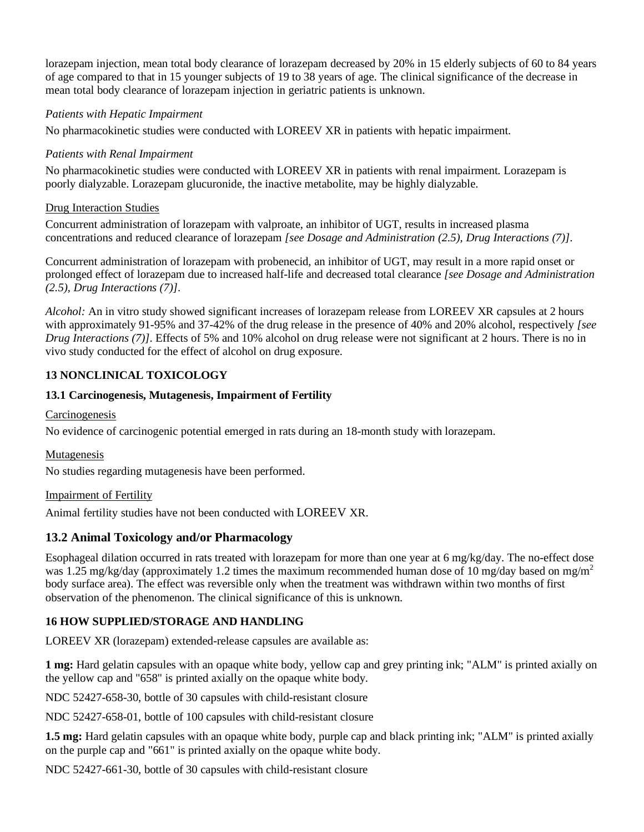lorazepam injection, mean total body clearance of lorazepam decreased by 20% in 15 elderly subjects of 60 to 84 years of age compared to that in 15 younger subjects of 19 to 38 years of age. The clinical significance of the decrease in mean total body clearance of lorazepam injection in geriatric patients is unknown.

# *Patients with Hepatic Impairment*

No pharmacokinetic studies were conducted with LOREEV XR in patients with hepatic impairment.

# *Patients with Renal Impairment*

No pharmacokinetic studies were conducted with LOREEV XR in patients with renal impairment. Lorazepam is poorly dialyzable. Lorazepam glucuronide, the inactive metabolite, may be highly dialyzable.

# Drug Interaction Studies

Concurrent administration of lorazepam with valproate, an inhibitor of UGT, results in increased plasma concentrations and reduced clearance of lorazepam *[see Dosage and Administration (2.5), Drug Interactions (7)]*.

Concurrent administration of lorazepam with probenecid, an inhibitor of UGT, may result in a more rapid onset or prolonged effect of lorazepam due to increased half-life and decreased total clearance *[see Dosage and Administration (2.5), Drug Interactions (7)]*.

*Alcohol:* An in vitro study showed significant increases of lorazepam release from LOREEV XR capsules at 2 hours with approximately 91-95% and 37-42% of the drug release in the presence of 40% and 20% alcohol, respectively *[see Drug Interactions (7)]*. Effects of 5% and 10% alcohol on drug release were not significant at 2 hours. There is no in vivo study conducted for the effect of alcohol on drug exposure.

# **13 NONCLINICAL TOXICOLOGY**

# **13.1 Carcinogenesis, Mutagenesis, Impairment of Fertility**

# **Carcinogenesis**

No evidence of carcinogenic potential emerged in rats during an 18-month study with lorazepam.

# Mutagenesis

No studies regarding mutagenesis have been performed.

## Impairment of Fertility

Animal fertility studies have not been conducted with LOREEV XR.

# **13.2 Animal Toxicology and/or Pharmacology**

Esophageal dilation occurred in rats treated with lorazepam for more than one year at 6 mg/kg/day. The no-effect dose was 1.25 mg/kg/day (approximately 1.2 times the maximum recommended human dose of 10 mg/day based on mg/m<sup>2</sup> body surface area). The effect was reversible only when the treatment was withdrawn within two months of first observation of the phenomenon. The clinical significance of this is unknown.

# **16 HOW SUPPLIED/STORAGE AND HANDLING**

LOREEV XR (lorazepam) extended-release capsules are available as:

**1 mg:** Hard gelatin capsules with an opaque white body, yellow cap and grey printing ink; "ALM" is printed axially on the yellow cap and "658" is printed axially on the opaque white body.

NDC 52427-658-30, bottle of 30 capsules with child-resistant closure

NDC 52427-658-01, bottle of 100 capsules with child-resistant closure

**1.5 mg:** Hard gelatin capsules with an opaque white body, purple cap and black printing ink; "ALM" is printed axially on the purple cap and "661" is printed axially on the opaque white body.

NDC 52427-661-30, bottle of 30 capsules with child-resistant closure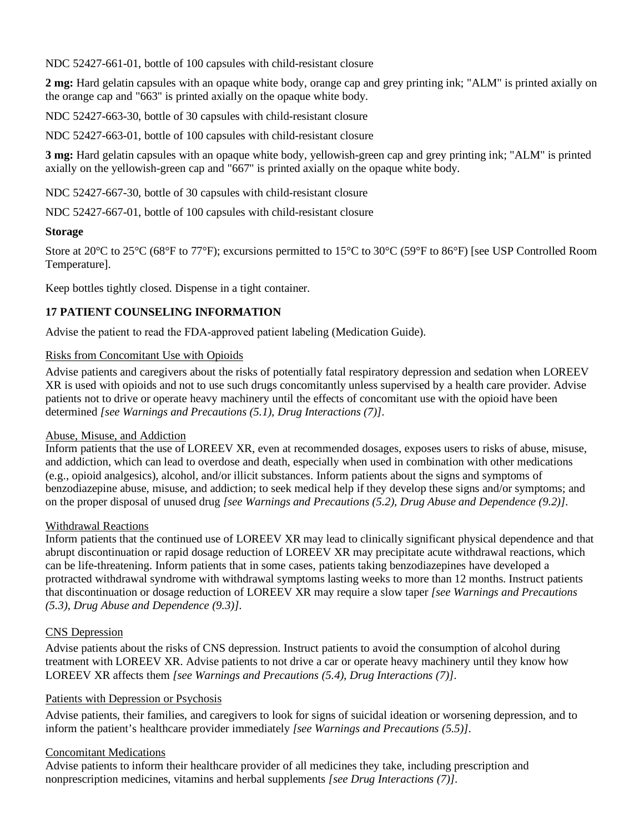NDC 52427-661-01, bottle of 100 capsules with child-resistant closure

**2 mg:** Hard gelatin capsules with an opaque white body, orange cap and grey printing ink; "ALM" is printed axially on the orange cap and "663" is printed axially on the opaque white body.

NDC 52427-663-30, bottle of 30 capsules with child-resistant closure

NDC 52427-663-01, bottle of 100 capsules with child-resistant closure

**3 mg:** Hard gelatin capsules with an opaque white body, yellowish-green cap and grey printing ink; "ALM" is printed axially on the yellowish-green cap and "667" is printed axially on the opaque white body.

NDC 52427-667-30, bottle of 30 capsules with child-resistant closure

NDC 52427-667-01, bottle of 100 capsules with child-resistant closure

# **Storage**

Store at 20°C to 25°C (68°F to 77°F); excursions permitted to 15°C to 30°C (59°F to 86°F) [see USP Controlled Room Temperature].

Keep bottles tightly closed. Dispense in a tight container.

# **17 PATIENT COUNSELING INFORMATION**

Advise the patient to read the FDA‐approved patient labeling (Medication Guide).

# Risks from Concomitant Use with Opioids

Advise patients and caregivers about the risks of potentially fatal respiratory depression and sedation when LOREEV XR is used with opioids and not to use such drugs concomitantly unless supervised by a health care provider. Advise patients not to drive or operate heavy machinery until the effects of concomitant use with the opioid have been determined *[see Warnings and Precautions (5.1), Drug Interactions (7)]*.

## Abuse, Misuse, and Addiction

Inform patients that the use of LOREEV XR, even at recommended dosages, exposes users to risks of abuse, misuse, and addiction, which can lead to overdose and death, especially when used in combination with other medications (e.g., opioid analgesics), alcohol, and/or illicit substances. Inform patients about the signs and symptoms of benzodiazepine abuse, misuse, and addiction; to seek medical help if they develop these signs and/or symptoms; and on the proper disposal of unused drug *[see Warnings and Precautions (5.2), Drug Abuse and Dependence (9.2)]*.

## Withdrawal Reactions

Inform patients that the continued use of LOREEV XR may lead to clinically significant physical dependence and that abrupt discontinuation or rapid dosage reduction of LOREEV XR may precipitate acute withdrawal reactions, which can be life-threatening. Inform patients that in some cases, patients taking benzodiazepines have developed a protracted withdrawal syndrome with withdrawal symptoms lasting weeks to more than 12 months. Instruct patients that discontinuation or dosage reduction of LOREEV XR may require a slow taper *[see Warnings and Precautions (5.3), Drug Abuse and Dependence (9.3)]*.

## CNS Depression

Advise patients about the risks of CNS depression. Instruct patients to avoid the consumption of alcohol during treatment with LOREEV XR. Advise patients to not drive a car or operate heavy machinery until they know how LOREEV XR affects them *[see Warnings and Precautions (5.4), Drug Interactions (7)]*.

# Patients with Depression or Psychosis

Advise patients, their families, and caregivers to look for signs of suicidal ideation or worsening depression, and to inform the patient's healthcare provider immediately *[see Warnings and Precautions (5.5)]*.

## Concomitant Medications

Advise patients to inform their healthcare provider of all medicines they take, including prescription and nonprescription medicines, vitamins and herbal supplements *[see Drug Interactions (7)]*.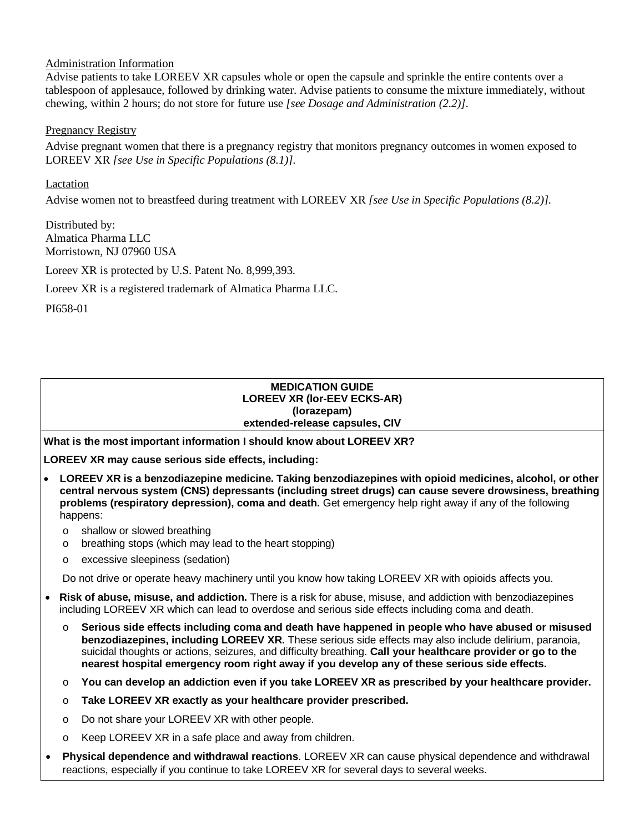# Administration Information

Advise patients to take LOREEV XR capsules whole or open the capsule and sprinkle the entire contents over a tablespoon of applesauce, followed by drinking water. Advise patients to consume the mixture immediately, without chewing, within 2 hours; do not store for future use *[see Dosage and Administration (2.2)]*.

## Pregnancy Registry

Advise pregnant women that there is a pregnancy registry that monitors pregnancy outcomes in women exposed to LOREEV XR *[see Use in Specific Populations (8.1)]*.

# **Lactation**

Advise women not to breastfeed during treatment with LOREEV XR *[see Use in Specific Populations (8.2)]*.

Distributed by: Almatica Pharma LLC Morristown, NJ 07960 USA

Loreev XR is protected by U.S. Patent No. 8,999,393.

Loreev XR is a registered trademark of Almatica Pharma LLC.

PI658-01

### **MEDICATION GUIDE LOREEV XR (lor-EEV ECKS-AR) (lorazepam) extended-release capsules, CIV**

**What is the most important information I should know about LOREEV XR?**

**LOREEV XR may cause serious side effects, including:**

- **LOREEV XR is a benzodiazepine medicine. Taking benzodiazepines with opioid medicines, alcohol, or other central nervous system (CNS) depressants (including street drugs) can cause severe drowsiness, breathing problems (respiratory depression), coma and death.** Get emergency help right away if any of the following happens:
	- o shallow or slowed breathing
	- o breathing stops (which may lead to the heart stopping)
	- o excessive sleepiness (sedation)

Do not drive or operate heavy machinery until you know how taking LOREEV XR with opioids affects you.

- **Risk of abuse, misuse, and addiction.** There is a risk for abuse, misuse, and addiction with benzodiazepines including LOREEV XR which can lead to overdose and serious side effects including coma and death.
	- o **Serious side effects including coma and death have happened in people who have abused or misused benzodiazepines, including LOREEV XR.** These serious side effects may also include delirium, paranoia, suicidal thoughts or actions, seizures, and difficulty breathing. **Call your healthcare provider or go to the nearest hospital emergency room right away if you develop any of these serious side effects.**
	- o **You can develop an addiction even if you take LOREEV XR as prescribed by your healthcare provider.**
	- o **Take LOREEV XR exactly as your healthcare provider prescribed.**
	- o Do not share your LOREEV XR with other people.
	- o Keep LOREEV XR in a safe place and away from children.
- **Physical dependence and withdrawal reactions**. LOREEV XR can cause physical dependence and withdrawal reactions, especially if you continue to take LOREEV XR for several days to several weeks.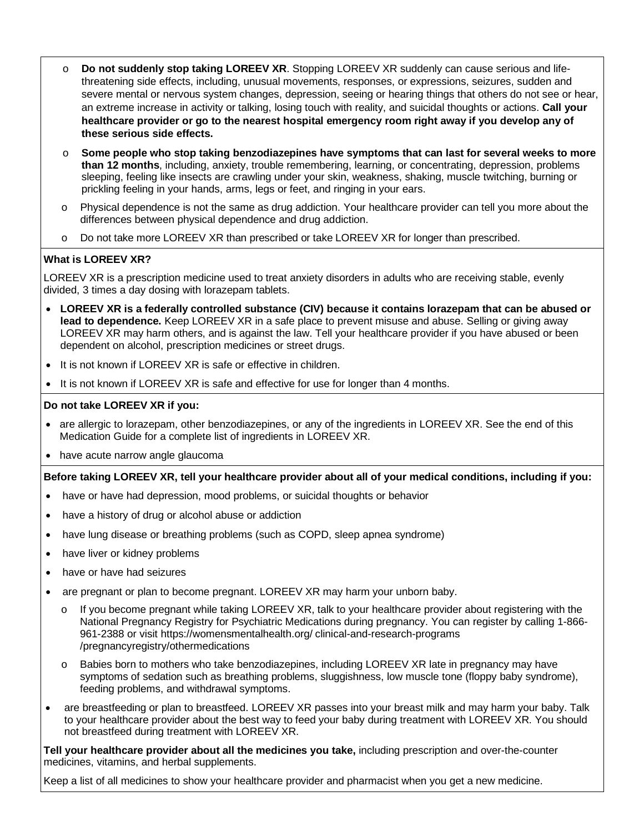- o **Do not suddenly stop taking LOREEV XR**. Stopping LOREEV XR suddenly can cause serious and lifethreatening side effects, including, unusual movements, responses, or expressions, seizures, sudden and severe mental or nervous system changes, depression, seeing or hearing things that others do not see or hear, an extreme increase in activity or talking, losing touch with reality, and suicidal thoughts or actions. **Call your healthcare provider or go to the nearest hospital emergency room right away if you develop any of these serious side effects.**
- o **Some people who stop taking benzodiazepines have symptoms that can last for several weeks to more than 12 months**, including, anxiety, trouble remembering, learning, or concentrating, depression, problems sleeping, feeling like insects are crawling under your skin, weakness, shaking, muscle twitching, burning or prickling feeling in your hands, arms, legs or feet, and ringing in your ears.
- o Physical dependence is not the same as drug addiction. Your healthcare provider can tell you more about the differences between physical dependence and drug addiction.
- o Do not take more LOREEV XR than prescribed or take LOREEV XR for longer than prescribed.

# **What is LOREEV XR?**

LOREEV XR is a prescription medicine used to treat anxiety disorders in adults who are receiving stable, evenly divided, 3 times a day dosing with lorazepam tablets.

- **LOREEV XR is a federally controlled substance (CIV) because it contains lorazepam that can be abused or lead to dependence.** Keep LOREEV XR in a safe place to prevent misuse and abuse. Selling or giving away LOREEV XR may harm others, and is against the law. Tell your healthcare provider if you have abused or been dependent on alcohol, prescription medicines or street drugs.
- It is not known if LOREEV XR is safe or effective in children.
- It is not known if LOREEV XR is safe and effective for use for longer than 4 months.

## **Do not take LOREEV XR if you:**

- are allergic to lorazepam, other benzodiazepines, or any of the ingredients in LOREEV XR. See the end of this Medication Guide for a complete list of ingredients in LOREEV XR.
- have acute narrow angle glaucoma

### **Before taking LOREEV XR, tell your healthcare provider about all of your medical conditions, including if you:**

- have or have had depression, mood problems, or suicidal thoughts or behavior
- have a history of drug or alcohol abuse or addiction
- have lung disease or breathing problems (such as COPD, sleep apnea syndrome)
- have liver or kidney problems
- have or have had seizures
- are pregnant or plan to become pregnant. LOREEV XR may harm your unborn baby.
	- o If you become pregnant while taking LOREEV XR, talk to your healthcare provider about registering with the National Pregnancy Registry for Psychiatric Medications during pregnancy. You can register by calling 1-866- 961-2388 or visit https://womensmentalhealth.org/ clinical-and-research-programs /pregnancyregistry/othermedications
	- Babies born to mothers who take benzodiazepines, including LOREEV XR late in pregnancy may have symptoms of sedation such as breathing problems, sluggishness, low muscle tone (floppy baby syndrome), feeding problems, and withdrawal symptoms.
- are breastfeeding or plan to breastfeed. LOREEV XR passes into your breast milk and may harm your baby. Talk to your healthcare provider about the best way to feed your baby during treatment with LOREEV XR. You should not breastfeed during treatment with LOREEV XR.

**Tell your healthcare provider about all the medicines you take,** including prescription and over-the-counter medicines, vitamins, and herbal supplements.

Keep a list of all medicines to show your healthcare provider and pharmacist when you get a new medicine.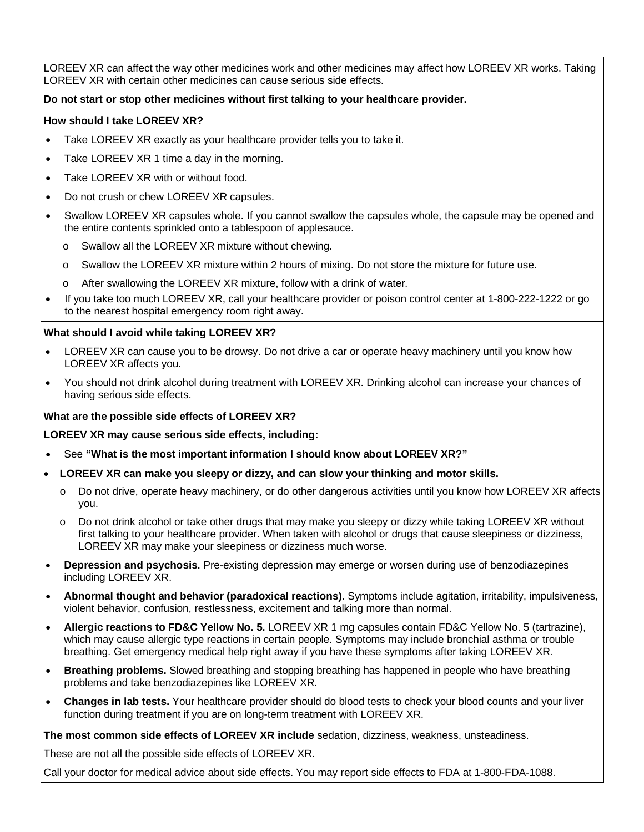LOREEV XR can affect the way other medicines work and other medicines may affect how LOREEV XR works. Taking LOREEV XR with certain other medicines can cause serious side effects.

# **Do not start or stop other medicines without first talking to your healthcare provider.**

# **How should I take LOREEV XR?**

- Take LOREEV XR exactly as your healthcare provider tells you to take it.
- Take LOREEV XR 1 time a day in the morning.
- Take LOREEV XR with or without food.
- Do not crush or chew LOREEV XR capsules.
- Swallow LOREEV XR capsules whole. If you cannot swallow the capsules whole, the capsule may be opened and the entire contents sprinkled onto a tablespoon of applesauce.
	- o Swallow all the LOREEV XR mixture without chewing.
	- o Swallow the LOREEV XR mixture within 2 hours of mixing. Do not store the mixture for future use.
	- o After swallowing the LOREEV XR mixture, follow with a drink of water.
- If you take too much LOREEV XR, call your healthcare provider or poison control center at 1-800-222-1222 or go to the nearest hospital emergency room right away.

# **What should I avoid while taking LOREEV XR?**

- LOREEV XR can cause you to be drowsy. Do not drive a car or operate heavy machinery until you know how LOREEV XR affects you.
- You should not drink alcohol during treatment with LOREEV XR. Drinking alcohol can increase your chances of having serious side effects.

## **What are the possible side effects of LOREEV XR?**

**LOREEV XR may cause serious side effects, including:**

- See **"What is the most important information I should know about LOREEV XR?"**
- **LOREEV XR can make you sleepy or dizzy, and can slow your thinking and motor skills.**
	- o Do not drive, operate heavy machinery, or do other dangerous activities until you know how LOREEV XR affects you.
	- o Do not drink alcohol or take other drugs that may make you sleepy or dizzy while taking LOREEV XR without first talking to your healthcare provider. When taken with alcohol or drugs that cause sleepiness or dizziness, LOREEV XR may make your sleepiness or dizziness much worse.
- **Depression and psychosis.** Pre-existing depression may emerge or worsen during use of benzodiazepines including LOREEV XR.
- **Abnormal thought and behavior (paradoxical reactions).** Symptoms include agitation, irritability, impulsiveness, violent behavior, confusion, restlessness, excitement and talking more than normal.
- **Allergic reactions to FD&C Yellow No. 5.** LOREEV XR 1 mg capsules contain FD&C Yellow No. 5 (tartrazine), which may cause allergic type reactions in certain people. Symptoms may include bronchial asthma or trouble breathing. Get emergency medical help right away if you have these symptoms after taking LOREEV XR.
- **Breathing problems.** Slowed breathing and stopping breathing has happened in people who have breathing problems and take benzodiazepines like LOREEV XR.
- **Changes in lab tests.** Your healthcare provider should do blood tests to check your blood counts and your liver function during treatment if you are on long-term treatment with LOREEV XR.

## **The most common side effects of LOREEV XR include** sedation, dizziness, weakness, unsteadiness.

These are not all the possible side effects of LOREEV XR.

Call your doctor for medical advice about side effects. You may report side effects to FDA at 1-800-FDA-1088.